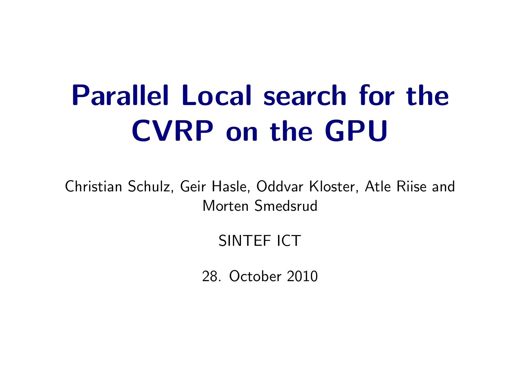## Parallel Local search for the CVRP on the GPU

Christian Schulz, Geir Hasle, Oddvar Kloster, Atle Riise and Morten Smedsrud

#### SINTEF ICT

<span id="page-0-0"></span>28. October 2010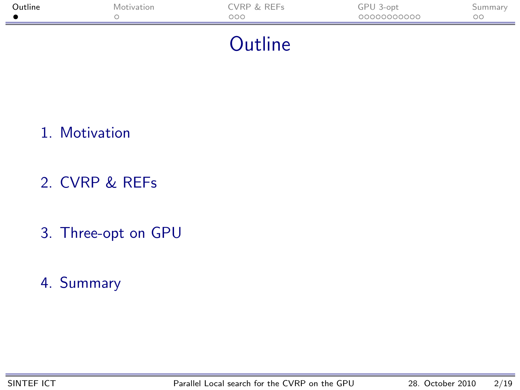| Outline | Motivation | CVRP & REFs<br>000 | GPU 3-opt<br>00000000000 | Summary<br>OΟ |
|---------|------------|--------------------|--------------------------|---------------|
|         |            | . .                |                          |               |

#### <span id="page-1-0"></span>**Outline**

- 1. [Motivation](#page-2-0)
- 2. [CVRP & REFs](#page-3-0)
- 3. [Three-opt on GPU](#page-7-0)
- 4. [Summary](#page-22-0)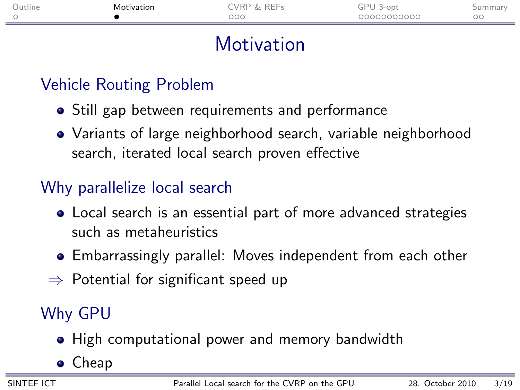| Jutline | Motivation<br>. | . vrp<br>レレレー<br>- | ⊸P⊡<br>1-opt | ummar |
|---------|-----------------|--------------------|--------------|-------|
|         |                 | ooo                | 00000000000  | ОC    |
|         |                 |                    |              |       |

## **Motivation**

### Vehicle Routing Problem

- Still gap between requirements and performance
- Variants of large neighborhood search, variable neighborhood search, iterated local search proven effective

#### Why parallelize local search

- Local search is an essential part of more advanced strategies such as metaheuristics
- Embarrassingly parallel: Moves independent from each other
- $\Rightarrow$  Potential for significant speed up

### Why GPU

- High computational power and memory bandwidth
- <span id="page-2-0"></span>• Cheap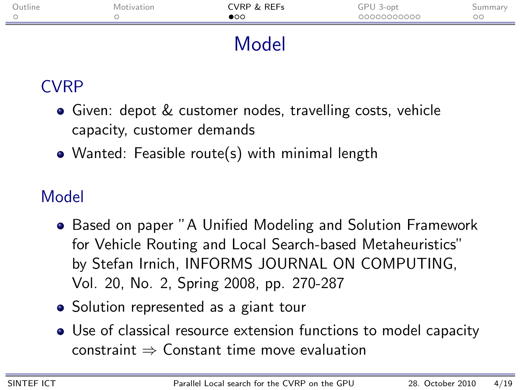| Outline | Motivation | CVRP & REFs<br>$\bullet$ | GPU 3-opt<br>00000000000 | Summary<br>$\circ\circ$ |
|---------|------------|--------------------------|--------------------------|-------------------------|
|         |            | Model                    |                          |                         |

## CVRP

- Given: depot & customer nodes, travelling costs, vehicle capacity, customer demands
- Wanted: Feasible route(s) with minimal length

## Model

- Based on paper "A Unified Modeling and Solution Framework for Vehicle Routing and Local Search-based Metaheuristics" by Stefan Irnich, INFORMS JOURNAL ON COMPUTING, Vol. 20, No. 2, Spring 2008, pp. 270-287
- Solution represented as a giant tour
- <span id="page-3-0"></span>Use of classical resource extension functions to model capacity  $constant \Rightarrow$  Constant time move evaluation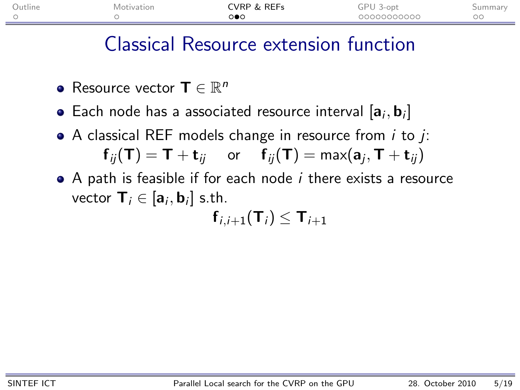| Jutline | <i>Aotivation</i> | <b>LVRP &amp; REFs</b> | ⊸PP<br>3-opt | bummar |
|---------|-------------------|------------------------|--------------|--------|
|         |                   | ಂ∙ಂ                    | 20000000000  | UU.    |
|         |                   |                        |              |        |

### Classical Resource extension function

- Resource vector  $\mathbf{T} \in \mathbb{R}^n$
- Each node has a associated resource interval  $[\mathsf{a}_i, \mathsf{b}_i]$
- $\bullet$  A classical REF models change in resource from *i* to *i*:  ${\mathbf f}_{ij}({\mathsf T})={\mathsf T}+{\mathbf t}_{ij}$  or  ${\mathsf f}_{ij}({\mathsf T})=\max({\mathbf a}_j,{\mathsf T}+{\mathbf t}_{ij})$
- $\bullet$  A path is feasible if for each node  $i$  there exists a resource vector  $\mathbf{T}_i \in [\mathbf{a}_i, \mathbf{b}_i]$  s.th.  $f_{i,i+1}({\bf T}_i) \le {\bf T}_{i+1}$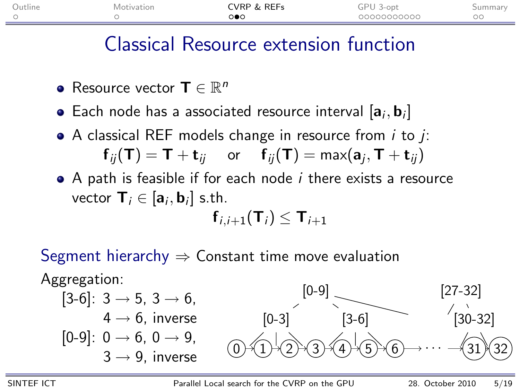| Jutline | Motivation | <b>VRP &amp; REFs</b> | 3-opt<br>JГ<br>ີ |    |
|---------|------------|-----------------------|------------------|----|
|         |            | ಂ∙                    | 00000000000      | ОC |
|         |            |                       |                  |    |

#### Classical Resource extension function

- Resource vector  $\mathbf{T} \in \mathbb{R}^n$
- Each node has a associated resource interval  $[\mathsf{a}_i, \mathsf{b}_i]$
- $\bullet$  A classical REF models change in resource from *i* to *i*:  ${\mathbf f}_{ij}({\mathsf T})={\mathsf T}+{\mathbf t}_{ij}$  or  ${\mathsf f}_{ij}({\mathsf T})=\max({\mathbf a}_j,{\mathsf T}+{\mathbf t}_{ij})$
- A path is feasible if for each node *i* there exists a resource vector  $\mathbf{T}_i \in [\mathbf{a}_i, \mathbf{b}_i]$  s.th.  $f_{i,i+1}({\bf T}_i) \le {\bf T}_{i+1}$

Segment hierarchy  $\Rightarrow$  Constant time move evaluation

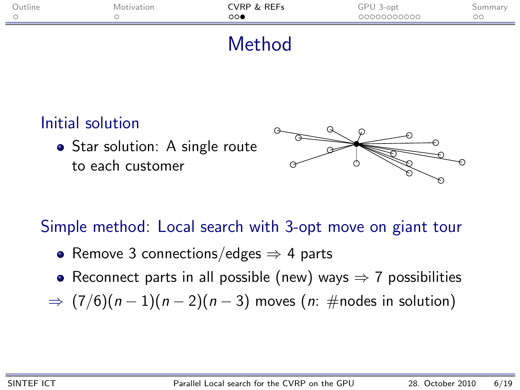| CVRP & REFs<br>Outline<br>GPU 3-opt<br>Motivation<br>00000000000<br>$\circ \circ \bullet$ | Summary<br>ОC |
|-------------------------------------------------------------------------------------------|---------------|

#### Method

#### Initial solution

• Star solution: A single route to each customer



Simple method: Local search with 3-opt move on giant tour

- Remove 3 connections/edges  $\Rightarrow$  4 parts
- Reconnect parts in all possible (new) ways  $\Rightarrow$  7 possibilities
- $\Rightarrow$   $(7/6)(n-1)(n-2)(n-3)$  moves  $(n:\text{\#nodes in solution})$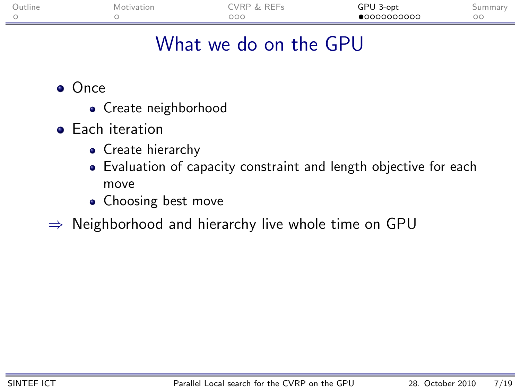| Jutline | Mc<br>51377 | レヒレー<br>VKI<br>ــ | GPU<br>3-ont | 11 1 1 <i>c</i> 11 |
|---------|-------------|-------------------|--------------|--------------------|
|         |             | ooo               | 000000000    | ◡◡                 |

## What we do on the GPU

- Once
	- Create neighborhood
- **•** Each iteration
	- Create hierarchy
	- Evaluation of capacity constraint and length objective for each move
	- Choosing best move
- <span id="page-7-0"></span> $\Rightarrow$  Neighborhood and hierarchy live whole time on GPU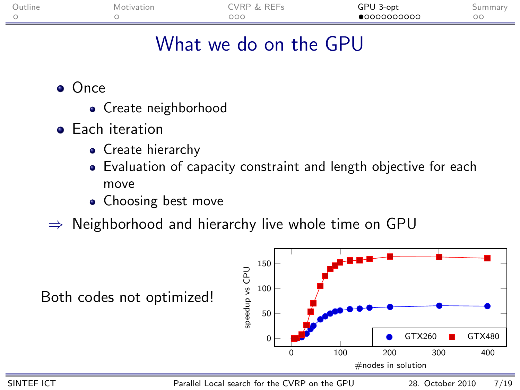| Jutline | Motivation | <b>RFFs</b><br><b>VRP</b> | GPU<br>3-opt |    |
|---------|------------|---------------------------|--------------|----|
|         |            | DOC                       | •00000000000 | ОC |

## What we do on the GPU

**o** Once

- Create neighborhood
- **•** Each iteration
	- Create hierarchy
	- Evaluation of capacity constraint and length objective for each move
	- Choosing best move
- $\Rightarrow$  Neighborhood and hierarchy live whole time on GPU

Both codes not optimized!



SINTEF ICT [Parallel Local search for the CVRP on the GPU](#page-0-0) 28. October 2010 7/19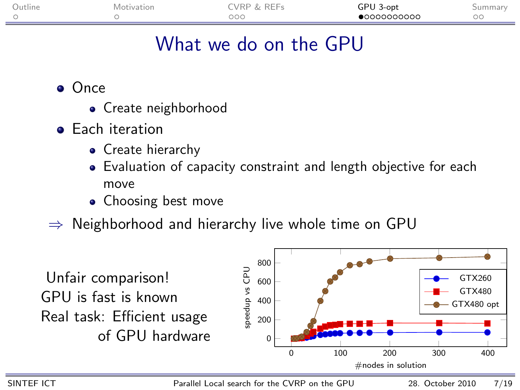| Jutline | IOI | `VRI<br><b>Lat. Lat.</b><br>ــ | 3-opt<br>a. |                     |
|---------|-----|--------------------------------|-------------|---------------------|
|         |     | <b>The art of the </b><br>UUU  | 000000000   | $\sim$ $\sim$<br>◡◡ |

## What we do on the GPU

- Once
	- Create neighborhood
- **•** Each iteration
	- Create hierarchy
	- Evaluation of capacity constraint and length objective for each move
	- Choosing best move
- $\Rightarrow$  Neighborhood and hierarchy live whole time on GPU



SINTEF ICT [Parallel Local search for the CVRP on the GPU](#page-0-0) 28. October 2010 7/19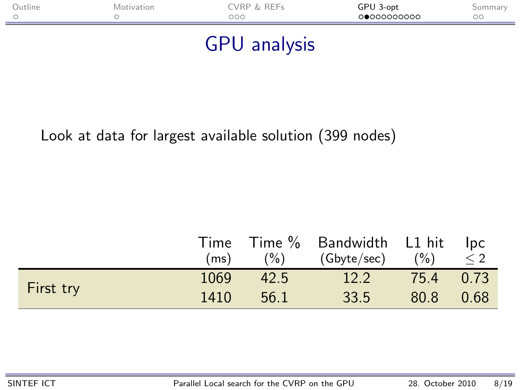| <b>Dutline</b> |  | TVRP & REFs<br>ooo | GPU 3-opt<br>00000000000 | 5 ummar<br>OС |
|----------------|--|--------------------|--------------------------|---------------|
|                |  |                    |                          |               |

#### GPU analysis

#### Look at data for largest available solution (399 nodes)

|           |      |         | Time Time % Bandwidth L1 hit Ipc |           |          |
|-----------|------|---------|----------------------------------|-----------|----------|
|           | (ms) | $(\% )$ | (Gbyte/sec) (%)                  |           | $\leq$ 2 |
|           | 1069 | 42.5    | 12.2                             | 75.4 0.73 |          |
| First try | 1410 | 56.1    | 33.5                             | 80.8 0.68 |          |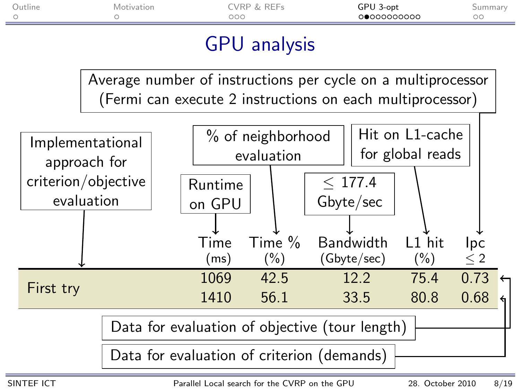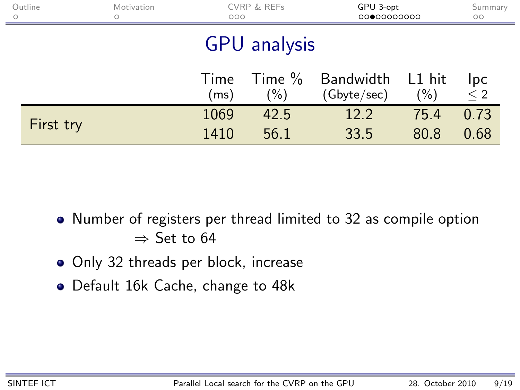| Outline<br>$\circ$  | Motivation<br>◠ |              | CVRP & REFs<br>000 |                                        | GPU 3-opt<br>0000000000 | Summary<br>$\circ$ |  |
|---------------------|-----------------|--------------|--------------------|----------------------------------------|-------------------------|--------------------|--|
| <b>GPU</b> analysis |                 |              |                    |                                        |                         |                    |  |
|                     |                 | Time<br>(ms) | $(\% )$            | Time % Bandwidth L1 hit<br>(Gbyte/sec) | $(\% )$                 | Ipc<br>$\leq 2$    |  |
| First try           |                 | 1069<br>1410 | 42.5<br>56.1       | 12.2<br>33.5                           | 75.4<br>80.8            | 0.73<br>0.68       |  |

- Number of registers per thread limited to 32 as compile option  $\Rightarrow$  Set to 64
- Only 32 threads per block, increase
- Default 16k Cache, change to 48k

 $\equiv$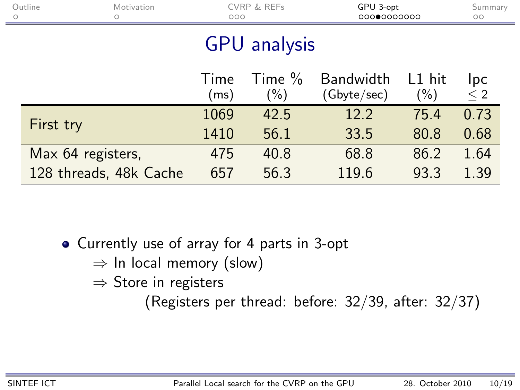| Outline<br>$\circ$  | Motivation             | CVRP & REFs<br>000 |                     | GPU 3-opt<br>0000000000         |                     | Summary<br>$\circ$     |
|---------------------|------------------------|--------------------|---------------------|---------------------------------|---------------------|------------------------|
| <b>GPU</b> analysis |                        |                    |                     |                                 |                     |                        |
|                     |                        | Time<br>(ms)       | Time $%$<br>$(\% )$ | <b>Bandwidth</b><br>(Gbyte/sec) | $L1$ hit<br>$(\% )$ | <b>Ipc</b><br>$\leq 2$ |
|                     |                        | 1069               | 42.5                | 12.2                            | 75.4                | 0.73                   |
| First try           |                        | 1410               | 56.1                | 33.5                            | 80.8                | 0.68                   |
|                     | Max 64 registers,      | 475                | 40.8                | 68.8                            | 86.2                | 1.64                   |
|                     | 128 threads, 48k Cache | 657                | 56.3                | 119.6                           | 93.3                | 1.39                   |

Currently use of array for 4 parts in 3-opt

 $\Rightarrow$  In local memory (slow)

 $\Rightarrow$  Store in registers

(Registers per thread: before: 32/39, after: 32/37)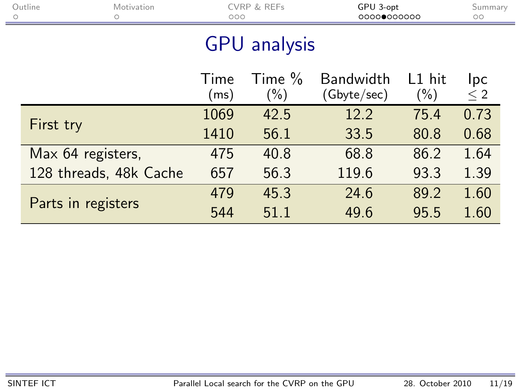| Outline<br>$\circ$ | Motivation             | CVRP & REFs<br>000 |                     | GPU 3-opt<br>00000000000        |                    | Summary<br>$\circ$ |
|--------------------|------------------------|--------------------|---------------------|---------------------------------|--------------------|--------------------|
|                    |                        |                    | <b>GPU</b> analysis |                                 |                    |                    |
|                    |                        | Time<br>(ms)       | Time $%$<br>$(\%)$  | <b>Bandwidth</b><br>(Gbyte/sec) | $L1$ hit<br>$(\%)$ | Ipc<br>$\leq 2$    |
|                    |                        | 1069               | 42.5                | 12.2                            | 75.4               | 0.73               |
| First try          |                        | 1410               | 56.1                | 33.5                            | 80.8               | 0.68               |
| Max 64 registers,  |                        | 475                | 40.8                | 68.8                            | 86.2               | 1.64               |
|                    | 128 threads, 48k Cache | 657                | 56.3                | 119.6                           | 93.3               | 1.39               |
|                    |                        | 479                | 45.3                | 24.6                            | 89.2               | 1.60               |
| Parts in registers |                        | 544                | 51.1                | 49.6                            | 95.5               | 1.60               |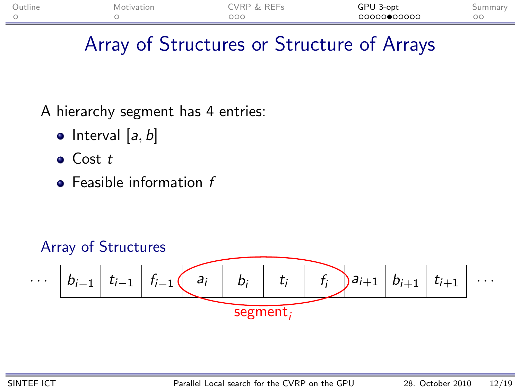| Outline | Motivation | <b>VRP &amp; REFs</b> | GPU 3-opt   |                      |
|---------|------------|-----------------------|-------------|----------------------|
|         |            | DOC                   | 00000000000 | $\sim$ $\sim$<br>DC. |

## Array of Structures or Structure of Arrays

#### A hierarchy segment has 4 entries:

- $\bullet$  Interval [a, b]
- $\bullet$  Cost t
- $\bullet$  Feasible information  $f$

#### Array of Structures

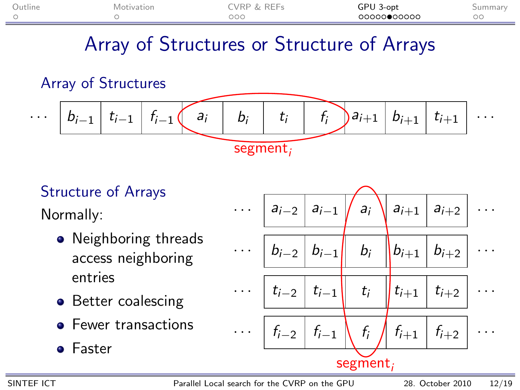| Outline | Motivation | <b><i>CVRP &amp; REFs</i></b> | GPU 3-opt   | oummary |
|---------|------------|-------------------------------|-------------|---------|
|         |            | DОC                           | 00000000000 |         |

## Array of Structures or Structure of Arrays

#### Array of Structures



## Structure of Arrays

Normally:

- Neighboring threads access neighboring entries
- Better coalescing
- **•** Fewer transactions
- **•** Faster

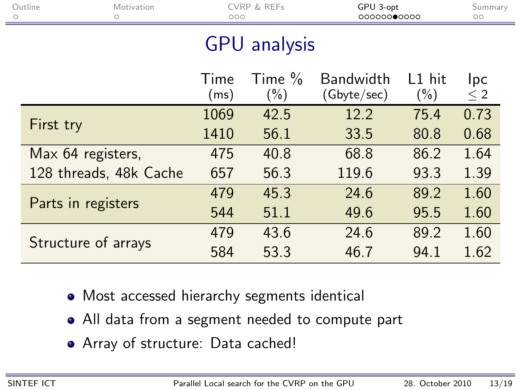| Outline                | CVRP & REFs<br>Motivation<br>000 |                      | GPU 3-opt<br>00000000000        |                   | Summary<br>$\circ$ |  |  |
|------------------------|----------------------------------|----------------------|---------------------------------|-------------------|--------------------|--|--|
| <b>GPU</b> analysis    |                                  |                      |                                 |                   |                    |  |  |
|                        | Time<br>(ms)                     | Time $\%$<br>$(\% )$ | <b>Bandwidth</b><br>(Gbyte/sec) | L1 hit<br>$(\% )$ | Ipc<br>$\leq 2$    |  |  |
|                        | 1069                             | 42.5                 | 12.2                            | 75.4              | 0.73               |  |  |
| First try              | 1410                             | 56.1                 | 33.5                            | 80.8              | 0.68               |  |  |
| Max 64 registers,      | 475                              | 40.8                 | 68.8                            | 86.2              | 1.64               |  |  |
| 128 threads, 48k Cache | 657                              | 56.3                 | 119.6                           | 93.3              | 1.39               |  |  |
|                        | 479                              | 45.3                 | 24.6                            | 89.2              | 1.60               |  |  |
| Parts in registers     | 544                              | 51.1                 | 49.6                            | 95.5              | 1.60               |  |  |
|                        | 479                              | 43.6                 | 24.6                            | 89.2              | 1.60               |  |  |
| Structure of arrays    | 584                              | 53.3                 | 46.7                            | 94.1              | 1.62               |  |  |

- Most accessed hierarchy segments identical
- All data from a segment needed to compute part
- Array of structure: Data cached!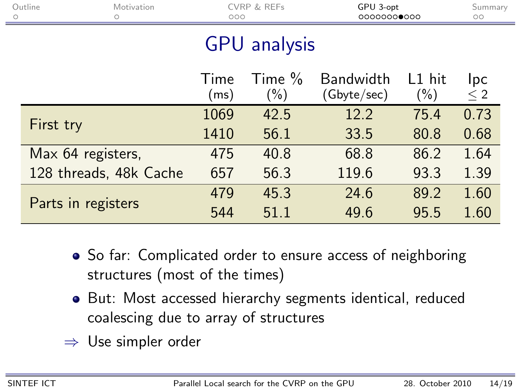| Outline<br>$\circ$  | Motivation             | CVRP & REFs<br>000 |                     | GPU 3-opt<br>00000000000 |                   | Summary<br>$\circ$ |  |  |
|---------------------|------------------------|--------------------|---------------------|--------------------------|-------------------|--------------------|--|--|
| <b>GPU</b> analysis |                        |                    |                     |                          |                   |                    |  |  |
|                     |                        | Time<br>(ms)       | Time $%$<br>$(\% )$ | Bandwidth<br>(Gbyte/sec) | L1 hit<br>$(\% )$ | Ipc<br>$\leq 2$    |  |  |
|                     |                        | 1069               | 42.5                | 12.2                     | 75.4              | 0.73               |  |  |
| First try           |                        | 1410               | 56.1                | 33.5                     | 80.8              | 0.68               |  |  |
| Max 64 registers,   |                        | 475                | 40.8                | 68.8                     | 86.2              | 1.64               |  |  |
|                     | 128 threads, 48k Cache | 657                | 56.3                | 119.6                    | 93.3              | 1.39               |  |  |
|                     |                        | 479                | 45.3                | 24.6                     | 89.2              | 1.60               |  |  |
| Parts in registers  |                        | 544                | 51.1                | 49.6                     | 95.5              | 1.60               |  |  |

and the con-

- So far: Complicated order to ensure access of neighboring structures (most of the times)
- But: Most accessed hierarchy segments identical, reduced coalescing due to array of structures
- $\Rightarrow$  Use simpler order

Ē.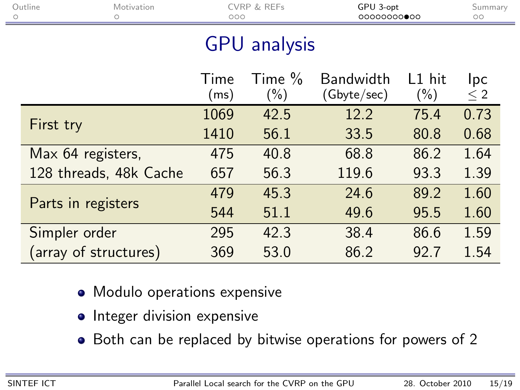| Outline                | Motivation<br>CVRP & REFs<br>000 |              | GPU 3-opt<br>00000000000 |                                 | Summary<br>$\circ$ |                 |  |
|------------------------|----------------------------------|--------------|--------------------------|---------------------------------|--------------------|-----------------|--|
| <b>GPU</b> analysis    |                                  |              |                          |                                 |                    |                 |  |
|                        |                                  | Time<br>(ms) | Time $\%$<br>$(\%)$      | <b>Bandwidth</b><br>(Gbyte/sec) | L1 hit<br>$(\% )$  | Ipc<br>$\leq 2$ |  |
|                        |                                  | 1069         | 42.5                     | 12.2                            | 75.4               | 0.73            |  |
| First try              |                                  | 1410         | 56.1                     | 33.5                            | 80.8               | 0.68            |  |
| Max 64 registers,      |                                  | 475          | 40.8                     | 68.8                            | 86.2               | 1.64            |  |
| 128 threads, 48k Cache |                                  | 657          | 56.3                     | 119.6                           | 93.3               | 1.39            |  |
|                        |                                  | 479          | 45.3                     | 24.6                            | 89.2               | 1.60            |  |
| Parts in registers     |                                  | 544          | 51.1                     | 49.6                            | 95.5               | 1.60            |  |
| Simpler order          |                                  | 295          | 42.3                     | 38.4                            | 86.6               | 1.59            |  |
| (array of structures)  |                                  | 369          | 53.0                     | 86.2                            | 92.7               | 1.54            |  |

- Modulo operations expensive
- Integer division expensive
- Both can be replaced by bitwise operations for powers of 2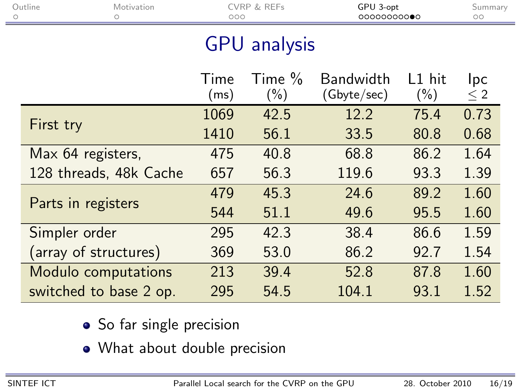|                     |                                                                                                                                                           | GPU 3-opt<br>0000000000         |                   | Summary<br>$\circ$ |  |  |  |
|---------------------|-----------------------------------------------------------------------------------------------------------------------------------------------------------|---------------------------------|-------------------|--------------------|--|--|--|
| <b>GPU</b> analysis |                                                                                                                                                           |                                 |                   |                    |  |  |  |
| Time<br>(ms)        | Time $\%$<br>$(\%)$                                                                                                                                       | <b>Bandwidth</b><br>(Gbyte/sec) | L1 hit<br>$(\% )$ | Ipc<br>$\leq 2$    |  |  |  |
| 1069                | 42.5                                                                                                                                                      | 12.2                            | 75.4              | 0.73               |  |  |  |
| 1410                | 56.1                                                                                                                                                      | 33.5                            | 80.8              | 0.68               |  |  |  |
| 475                 | 40.8                                                                                                                                                      | 68.8                            | 86.2              | 1.64               |  |  |  |
| 657                 | 56.3                                                                                                                                                      | 119.6                           | 93.3              | 1.39               |  |  |  |
| 479                 | 45.3                                                                                                                                                      | 24.6                            | 89.2              | 1.60               |  |  |  |
| 544                 | 51.1                                                                                                                                                      | 49.6                            | 95.5              | 1.60               |  |  |  |
| 295                 | 42.3                                                                                                                                                      | 38.4                            | 86.6              | 1.59               |  |  |  |
| 369                 | 53.0                                                                                                                                                      | 86.2                            | 92.7              | 1.54               |  |  |  |
| 213                 | 39.4                                                                                                                                                      | 52.8                            | 87.8              | 1.60               |  |  |  |
| 295                 | 54.5                                                                                                                                                      | 104.1                           | 93.1              | 1.52               |  |  |  |
|                     | Motivation<br>Max 64 registers,<br>128 threads, 48k Cache<br>Parts in registers<br>(array of structures)<br>Modulo computations<br>switched to base 2 op. | <b>CVRP &amp; REFs</b><br>000   |                   |                    |  |  |  |

- So far single precision
- What about double precision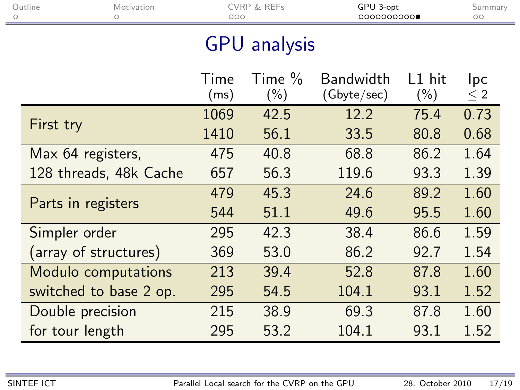| Outline<br>Ο    | Motivation<br>Ο        | CVRP & REFs<br>000 |                     | GPU 3-opt<br>0000000000         |                     | Summary<br>$\circ$ |
|-----------------|------------------------|--------------------|---------------------|---------------------------------|---------------------|--------------------|
|                 |                        |                    | <b>GPU</b> analysis |                                 |                     |                    |
|                 |                        | Time<br>(ms)       | Time %<br>$(\% )$   | <b>Bandwidth</b><br>(Gbyte/sec) | $L1$ hit<br>$(\% )$ | Ipc<br>$\leq 2$    |
|                 |                        | 1069               | 42.5                | 12.2                            | 75.4                | 0.73               |
| First try       |                        | 1410               | 56.1                | 33.5                            | 80.8                | 0.68               |
|                 | Max 64 registers,      | 475                | 40.8                | 68.8                            | 86.2                | 1.64               |
|                 | 128 threads, 48k Cache | 657                | 56.3                | 119.6                           | 93.3                | 1.39               |
|                 | Parts in registers     | 479                | 45.3                | 24.6                            | 89.2                | 1.60               |
|                 |                        | 544                | 51.1                | 49.6                            | 95.5                | 1.60               |
| Simpler order   |                        | 295                | 42.3                | 38.4                            | 86.6                | 1.59               |
|                 | (array of structures)  | 369                | 53.0                | 86.2                            | 92.7                | 1.54               |
|                 | Modulo computations    | 213                | 39.4                | 52.8                            | 87.8                | 1.60               |
|                 | switched to base 2 op. | 295                | 54.5                | 104.1                           | 93.1                | 1.52               |
|                 | Double precision       | 215                | 38.9                | 69.3                            | 87.8                | 1.60               |
| for tour length |                        | 295                | 53.2                | 104.1                           | 93.1                | 1.52               |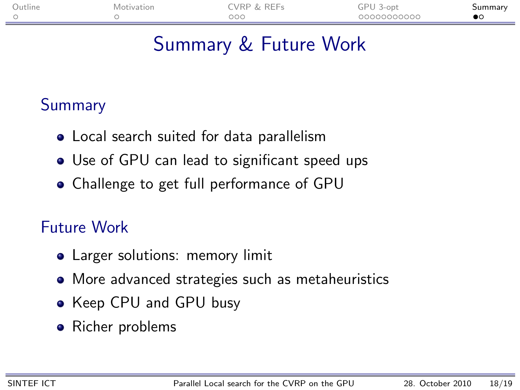| Outline | Motivation | <b><i>NRP &amp; REFs</i></b> | GPU 1<br>3-opt | วนmmarv |
|---------|------------|------------------------------|----------------|---------|
|         |            | 000                          | 00000000000    |         |

## Summary & Future Work

#### **Summary**

- Local search suited for data parallelism
- Use of GPU can lead to significant speed ups
- Challenge to get full performance of GPU

#### Future Work

- Larger solutions: memory limit
- More advanced strategies such as metaheuristics
- Keep CPU and GPU busy
- <span id="page-22-0"></span>• Richer problems